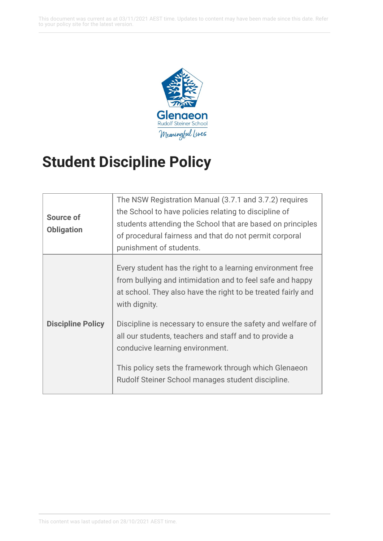This document was current as at 03/11/2021 AEST time. Updates to content may have been made since this date. Refer to your policy site for the latest version.



## **Student Discipline Policy**

| Source of<br><b>Obligation</b> | The NSW Registration Manual (3.7.1 and 3.7.2) requires<br>the School to have policies relating to discipline of<br>students attending the School that are based on principles<br>of procedural fairness and that do not permit corporal<br>punishment of students.                                                                                                                                                           |
|--------------------------------|------------------------------------------------------------------------------------------------------------------------------------------------------------------------------------------------------------------------------------------------------------------------------------------------------------------------------------------------------------------------------------------------------------------------------|
| <b>Discipline Policy</b>       | Every student has the right to a learning environment free<br>from bullying and intimidation and to feel safe and happy<br>at school. They also have the right to be treated fairly and<br>with dignity.<br>Discipline is necessary to ensure the safety and welfare of<br>all our students, teachers and staff and to provide a<br>conducive learning environment.<br>This policy sets the framework through which Glenaeon |
|                                | Rudolf Steiner School manages student discipline.                                                                                                                                                                                                                                                                                                                                                                            |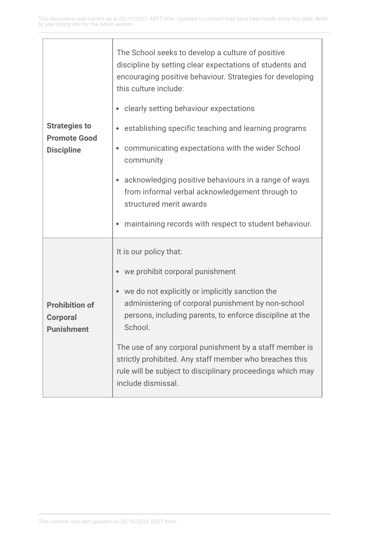'n

L,

| <b>Strategies to</b><br><b>Promote Good</b><br><b>Discipline</b> | The School seeks to develop a culture of positive<br>discipline by setting clear expectations of students and<br>encouraging positive behaviour. Strategies for developing<br>this culture include:    |
|------------------------------------------------------------------|--------------------------------------------------------------------------------------------------------------------------------------------------------------------------------------------------------|
|                                                                  | clearly setting behaviour expectations                                                                                                                                                                 |
|                                                                  | establishing specific teaching and learning programs                                                                                                                                                   |
|                                                                  | communicating expectations with the wider School<br>$\bullet$<br>community                                                                                                                             |
|                                                                  | acknowledging positive behaviours in a range of ways<br>from informal verbal acknowledgement through to<br>structured merit awards                                                                     |
|                                                                  | maintaining records with respect to student behaviour.                                                                                                                                                 |
| <b>Prohibition of</b><br><b>Corporal</b><br><b>Punishment</b>    | It is our policy that:                                                                                                                                                                                 |
|                                                                  | we prohibit corporal punishment                                                                                                                                                                        |
|                                                                  | we do not explicitly or implicitly sanction the<br>administering of corporal punishment by non-school<br>persons, including parents, to enforce discipline at the<br>School.                           |
|                                                                  | The use of any corporal punishment by a staff member is<br>strictly prohibited. Any staff member who breaches this<br>rule will be subject to disciplinary proceedings which may<br>include dismissal. |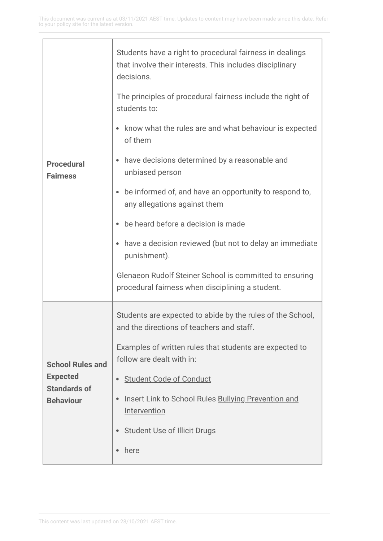| <b>Procedural</b><br><b>Fairness</b>                                                  | Students have a right to procedural fairness in dealings<br>that involve their interests. This includes disciplinary<br>decisions. |
|---------------------------------------------------------------------------------------|------------------------------------------------------------------------------------------------------------------------------------|
|                                                                                       | The principles of procedural fairness include the right of<br>students to:                                                         |
|                                                                                       | know what the rules are and what behaviour is expected<br>of them                                                                  |
|                                                                                       | have decisions determined by a reasonable and<br>unbiased person                                                                   |
|                                                                                       | be informed of, and have an opportunity to respond to,<br>any allegations against them                                             |
|                                                                                       | be heard before a decision is made                                                                                                 |
|                                                                                       | have a decision reviewed (but not to delay an immediate<br>punishment).                                                            |
|                                                                                       | Glenaeon Rudolf Steiner School is committed to ensuring<br>procedural fairness when disciplining a student.                        |
| <b>School Rules and</b><br><b>Expected</b><br><b>Standards of</b><br><b>Behaviour</b> | Students are expected to abide by the rules of the School,<br>and the directions of teachers and staff.                            |
|                                                                                       | Examples of written rules that students are expected to<br>follow are dealt with in:                                               |
|                                                                                       | <b>Student Code of Conduct</b>                                                                                                     |
|                                                                                       | Insert Link to School Rules Bullying Prevention and<br>Intervention                                                                |
|                                                                                       | <b>Student Use of Illicit Drugs</b>                                                                                                |
|                                                                                       | here                                                                                                                               |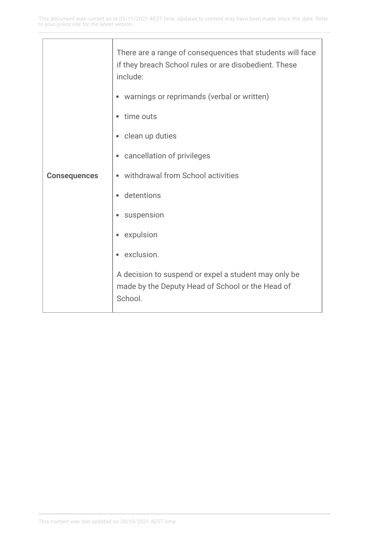| <b>Consequences</b> | There are a range of consequences that students will face<br>if they breach School rules or are disobedient. These<br>include: |
|---------------------|--------------------------------------------------------------------------------------------------------------------------------|
|                     | warnings or reprimands (verbal or written)                                                                                     |
|                     | time outs                                                                                                                      |
|                     | clean up duties<br>$\bullet$                                                                                                   |
|                     | cancellation of privileges<br>$\bullet$                                                                                        |
|                     | withdrawal from School activities                                                                                              |
|                     | detentions                                                                                                                     |
|                     | suspension                                                                                                                     |
|                     | expulsion                                                                                                                      |
|                     | exclusion.                                                                                                                     |
|                     | A decision to suspend or expel a student may only be<br>made by the Deputy Head of School or the Head of<br>School.            |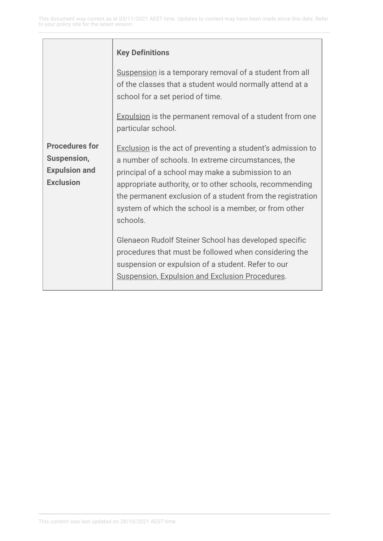|                                                                                  | <b>Key Definitions</b>                                                                                                                                                                                                                                                                                                                                                                                                                                                                                                                                                                                         |
|----------------------------------------------------------------------------------|----------------------------------------------------------------------------------------------------------------------------------------------------------------------------------------------------------------------------------------------------------------------------------------------------------------------------------------------------------------------------------------------------------------------------------------------------------------------------------------------------------------------------------------------------------------------------------------------------------------|
|                                                                                  | Suspension is a temporary removal of a student from all<br>of the classes that a student would normally attend at a<br>school for a set period of time.                                                                                                                                                                                                                                                                                                                                                                                                                                                        |
|                                                                                  | <b>Expulsion</b> is the permanent removal of a student from one<br>particular school.                                                                                                                                                                                                                                                                                                                                                                                                                                                                                                                          |
| <b>Procedures for</b><br>Suspension,<br><b>Expulsion and</b><br><b>Exclusion</b> | <b>Exclusion</b> is the act of preventing a student's admission to<br>a number of schools. In extreme circumstances, the<br>principal of a school may make a submission to an<br>appropriate authority, or to other schools, recommending<br>the permanent exclusion of a student from the registration<br>system of which the school is a member, or from other<br>schools.<br>Glenaeon Rudolf Steiner School has developed specific<br>procedures that must be followed when considering the<br>suspension or expulsion of a student. Refer to our<br><b>Suspension, Expulsion and Exclusion Procedures.</b> |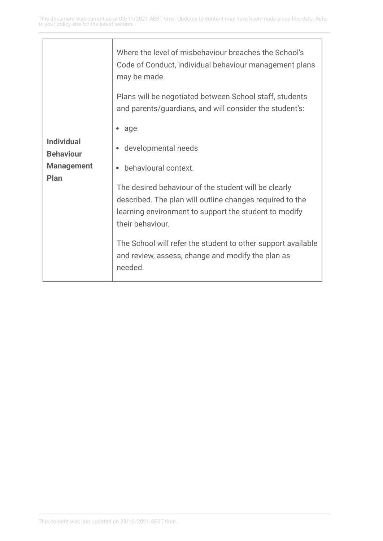$\overline{\phantom{a}}$ 

|                                                                    | Where the level of misbehaviour breaches the School's<br>Code of Conduct, individual behaviour management plans<br>may be made.                                                                                                                                                                                                                                                     |
|--------------------------------------------------------------------|-------------------------------------------------------------------------------------------------------------------------------------------------------------------------------------------------------------------------------------------------------------------------------------------------------------------------------------------------------------------------------------|
|                                                                    | Plans will be negotiated between School staff, students<br>and parents/guardians, and will consider the student's:                                                                                                                                                                                                                                                                  |
| <b>Individual</b><br><b>Behaviour</b><br><b>Management</b><br>Plan | age<br>developmental needs<br>behavioural context.<br>The desired behaviour of the student will be clearly<br>described. The plan will outline changes required to the<br>learning environment to support the student to modify<br>their behaviour.<br>The School will refer the student to other support available<br>and review, assess, change and modify the plan as<br>needed. |